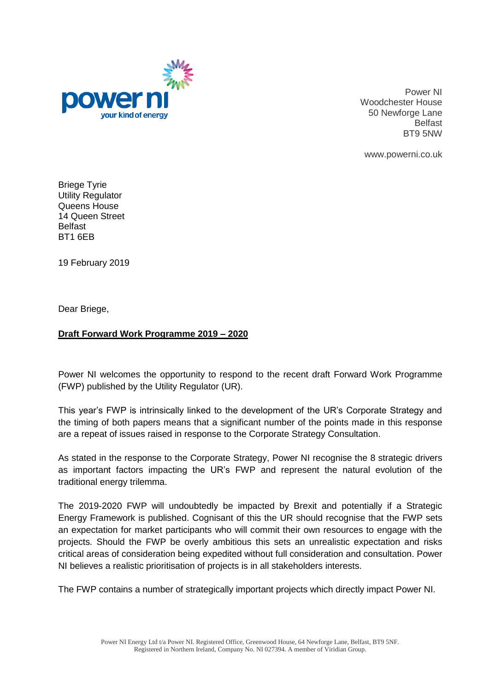

Power NI Woodchester House 50 Newforge Lane Belfast BT9 5NW

www.powerni.co.uk

Briege Tyrie Utility Regulator Queens House 14 Queen Street Belfast BT1 6EB

19 February 2019

Dear Briege,

## **Draft Forward Work Programme 2019 – 2020**

Power NI welcomes the opportunity to respond to the recent draft Forward Work Programme (FWP) published by the Utility Regulator (UR).

This year's FWP is intrinsically linked to the development of the UR's Corporate Strategy and the timing of both papers means that a significant number of the points made in this response are a repeat of issues raised in response to the Corporate Strategy Consultation.

As stated in the response to the Corporate Strategy, Power NI recognise the 8 strategic drivers as important factors impacting the UR's FWP and represent the natural evolution of the traditional energy trilemma.

The 2019-2020 FWP will undoubtedly be impacted by Brexit and potentially if a Strategic Energy Framework is published. Cognisant of this the UR should recognise that the FWP sets an expectation for market participants who will commit their own resources to engage with the projects. Should the FWP be overly ambitious this sets an unrealistic expectation and risks critical areas of consideration being expedited without full consideration and consultation. Power NI believes a realistic prioritisation of projects is in all stakeholders interests.

The FWP contains a number of strategically important projects which directly impact Power NI.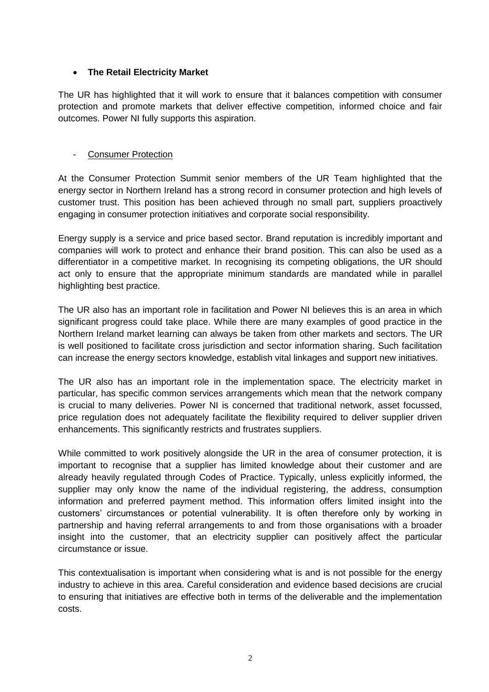## **The Retail Electricity Market**

The UR has highlighted that it will work to ensure that it balances competition with consumer protection and promote markets that deliver effective competition, informed choice and fair outcomes. Power NI fully supports this aspiration.

#### - Consumer Protection

At the Consumer Protection Summit senior members of the UR Team highlighted that the energy sector in Northern Ireland has a strong record in consumer protection and high levels of customer trust. This position has been achieved through no small part, suppliers proactively engaging in consumer protection initiatives and corporate social responsibility.

Energy supply is a service and price based sector. Brand reputation is incredibly important and companies will work to protect and enhance their brand position. This can also be used as a differentiator in a competitive market. In recognising its competing obligations, the UR should act only to ensure that the appropriate minimum standards are mandated while in parallel highlighting best practice.

The UR also has an important role in facilitation and Power NI believes this is an area in which significant progress could take place. While there are many examples of good practice in the Northern Ireland market learning can always be taken from other markets and sectors. The UR is well positioned to facilitate cross jurisdiction and sector information sharing. Such facilitation can increase the energy sectors knowledge, establish vital linkages and support new initiatives.

The UR also has an important role in the implementation space. The electricity market in particular, has specific common services arrangements which mean that the network company is crucial to many deliveries. Power NI is concerned that traditional network, asset focussed, price regulation does not adequately facilitate the flexibility required to deliver supplier driven enhancements. This significantly restricts and frustrates suppliers.

While committed to work positively alongside the UR in the area of consumer protection, it is important to recognise that a supplier has limited knowledge about their customer and are already heavily regulated through Codes of Practice. Typically, unless explicitly informed, the supplier may only know the name of the individual registering, the address, consumption information and preferred payment method. This information offers limited insight into the customers' circumstances or potential vulnerability. It is often therefore only by working in partnership and having referral arrangements to and from those organisations with a broader insight into the customer, that an electricity supplier can positively affect the particular circumstance or issue.

This contextualisation is important when considering what is and is not possible for the energy industry to achieve in this area. Careful consideration and evidence based decisions are crucial to ensuring that initiatives are effective both in terms of the deliverable and the implementation costs.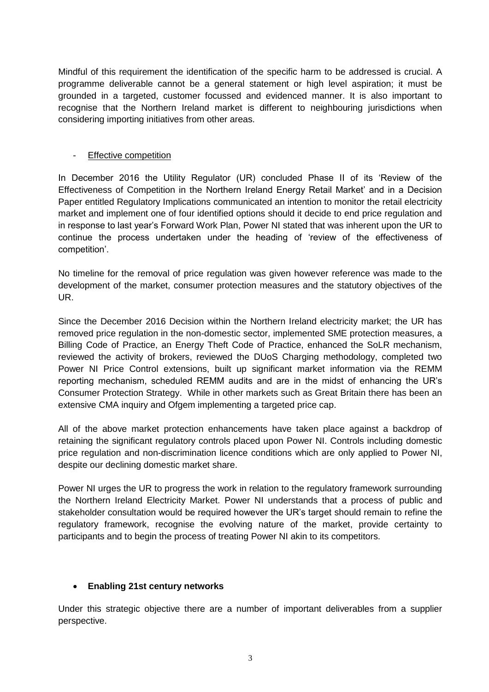Mindful of this requirement the identification of the specific harm to be addressed is crucial. A programme deliverable cannot be a general statement or high level aspiration; it must be grounded in a targeted, customer focussed and evidenced manner. It is also important to recognise that the Northern Ireland market is different to neighbouring jurisdictions when considering importing initiatives from other areas.

#### - Effective competition

In December 2016 the Utility Regulator (UR) concluded Phase II of its 'Review of the Effectiveness of Competition in the Northern Ireland Energy Retail Market' and in a Decision Paper entitled Regulatory Implications communicated an intention to monitor the retail electricity market and implement one of four identified options should it decide to end price regulation and in response to last year's Forward Work Plan, Power NI stated that was inherent upon the UR to continue the process undertaken under the heading of 'review of the effectiveness of competition'.

No timeline for the removal of price regulation was given however reference was made to the development of the market, consumer protection measures and the statutory objectives of the UR.

Since the December 2016 Decision within the Northern Ireland electricity market; the UR has removed price regulation in the non-domestic sector, implemented SME protection measures, a Billing Code of Practice, an Energy Theft Code of Practice, enhanced the SoLR mechanism, reviewed the activity of brokers, reviewed the DUoS Charging methodology, completed two Power NI Price Control extensions, built up significant market information via the REMM reporting mechanism, scheduled REMM audits and are in the midst of enhancing the UR's Consumer Protection Strategy. While in other markets such as Great Britain there has been an extensive CMA inquiry and Ofgem implementing a targeted price cap.

All of the above market protection enhancements have taken place against a backdrop of retaining the significant regulatory controls placed upon Power NI. Controls including domestic price regulation and non-discrimination licence conditions which are only applied to Power NI, despite our declining domestic market share.

Power NI urges the UR to progress the work in relation to the regulatory framework surrounding the Northern Ireland Electricity Market. Power NI understands that a process of public and stakeholder consultation would be required however the UR's target should remain to refine the regulatory framework, recognise the evolving nature of the market, provide certainty to participants and to begin the process of treating Power NI akin to its competitors.

#### **Enabling 21st century networks**

Under this strategic objective there are a number of important deliverables from a supplier perspective.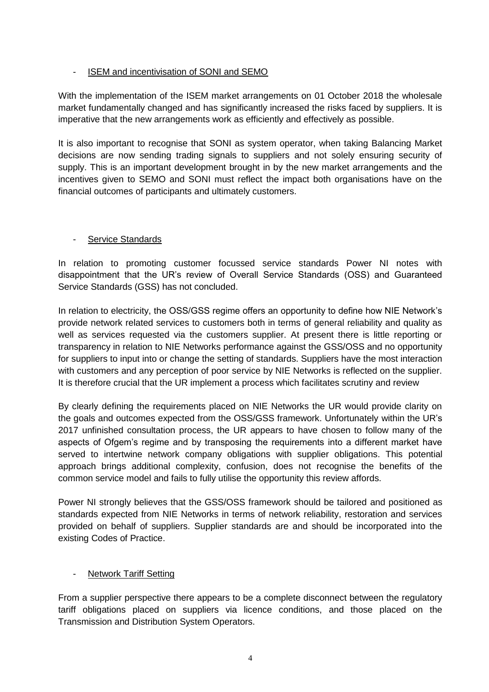# - ISEM and incentivisation of SONI and SEMO

With the implementation of the ISEM market arrangements on 01 October 2018 the wholesale market fundamentally changed and has significantly increased the risks faced by suppliers. It is imperative that the new arrangements work as efficiently and effectively as possible.

It is also important to recognise that SONI as system operator, when taking Balancing Market decisions are now sending trading signals to suppliers and not solely ensuring security of supply. This is an important development brought in by the new market arrangements and the incentives given to SEMO and SONI must reflect the impact both organisations have on the financial outcomes of participants and ultimately customers.

## Service Standards

In relation to promoting customer focussed service standards Power NI notes with disappointment that the UR's review of Overall Service Standards (OSS) and Guaranteed Service Standards (GSS) has not concluded.

In relation to electricity, the OSS/GSS regime offers an opportunity to define how NIE Network's provide network related services to customers both in terms of general reliability and quality as well as services requested via the customers supplier. At present there is little reporting or transparency in relation to NIE Networks performance against the GSS/OSS and no opportunity for suppliers to input into or change the setting of standards. Suppliers have the most interaction with customers and any perception of poor service by NIE Networks is reflected on the supplier. It is therefore crucial that the UR implement a process which facilitates scrutiny and review

By clearly defining the requirements placed on NIE Networks the UR would provide clarity on the goals and outcomes expected from the OSS/GSS framework. Unfortunately within the UR's 2017 unfinished consultation process, the UR appears to have chosen to follow many of the aspects of Ofgem's regime and by transposing the requirements into a different market have served to intertwine network company obligations with supplier obligations. This potential approach brings additional complexity, confusion, does not recognise the benefits of the common service model and fails to fully utilise the opportunity this review affords.

Power NI strongly believes that the GSS/OSS framework should be tailored and positioned as standards expected from NIE Networks in terms of network reliability, restoration and services provided on behalf of suppliers. Supplier standards are and should be incorporated into the existing Codes of Practice.

## **Network Tariff Setting**

From a supplier perspective there appears to be a complete disconnect between the regulatory tariff obligations placed on suppliers via licence conditions, and those placed on the Transmission and Distribution System Operators.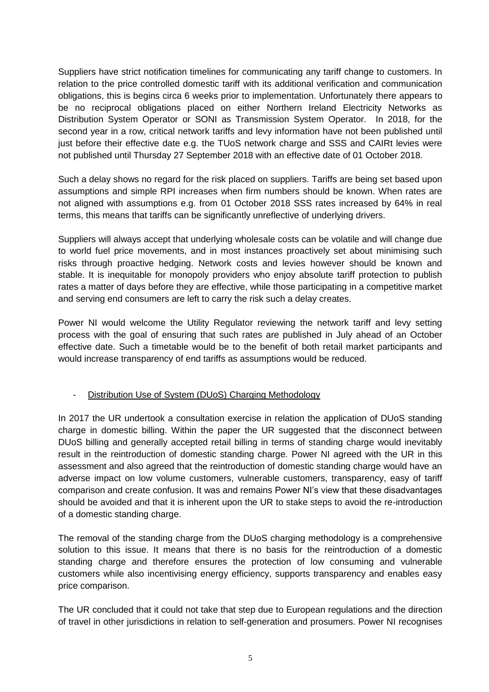Suppliers have strict notification timelines for communicating any tariff change to customers. In relation to the price controlled domestic tariff with its additional verification and communication obligations, this is begins circa 6 weeks prior to implementation. Unfortunately there appears to be no reciprocal obligations placed on either Northern Ireland Electricity Networks as Distribution System Operator or SONI as Transmission System Operator. In 2018, for the second year in a row, critical network tariffs and levy information have not been published until just before their effective date e.g. the TUoS network charge and SSS and CAIRt levies were not published until Thursday 27 September 2018 with an effective date of 01 October 2018.

Such a delay shows no regard for the risk placed on suppliers. Tariffs are being set based upon assumptions and simple RPI increases when firm numbers should be known. When rates are not aligned with assumptions e.g. from 01 October 2018 SSS rates increased by 64% in real terms, this means that tariffs can be significantly unreflective of underlying drivers.

Suppliers will always accept that underlying wholesale costs can be volatile and will change due to world fuel price movements, and in most instances proactively set about minimising such risks through proactive hedging. Network costs and levies however should be known and stable. It is inequitable for monopoly providers who enjoy absolute tariff protection to publish rates a matter of days before they are effective, while those participating in a competitive market and serving end consumers are left to carry the risk such a delay creates.

Power NI would welcome the Utility Regulator reviewing the network tariff and levy setting process with the goal of ensuring that such rates are published in July ahead of an October effective date. Such a timetable would be to the benefit of both retail market participants and would increase transparency of end tariffs as assumptions would be reduced.

## - Distribution Use of System (DUoS) Charging Methodology

In 2017 the UR undertook a consultation exercise in relation the application of DUoS standing charge in domestic billing. Within the paper the UR suggested that the disconnect between DUoS billing and generally accepted retail billing in terms of standing charge would inevitably result in the reintroduction of domestic standing charge. Power NI agreed with the UR in this assessment and also agreed that the reintroduction of domestic standing charge would have an adverse impact on low volume customers, vulnerable customers, transparency, easy of tariff comparison and create confusion. It was and remains Power NI's view that these disadvantages should be avoided and that it is inherent upon the UR to stake steps to avoid the re-introduction of a domestic standing charge.

The removal of the standing charge from the DUoS charging methodology is a comprehensive solution to this issue. It means that there is no basis for the reintroduction of a domestic standing charge and therefore ensures the protection of low consuming and vulnerable customers while also incentivising energy efficiency, supports transparency and enables easy price comparison.

The UR concluded that it could not take that step due to European regulations and the direction of travel in other jurisdictions in relation to self-generation and prosumers. Power NI recognises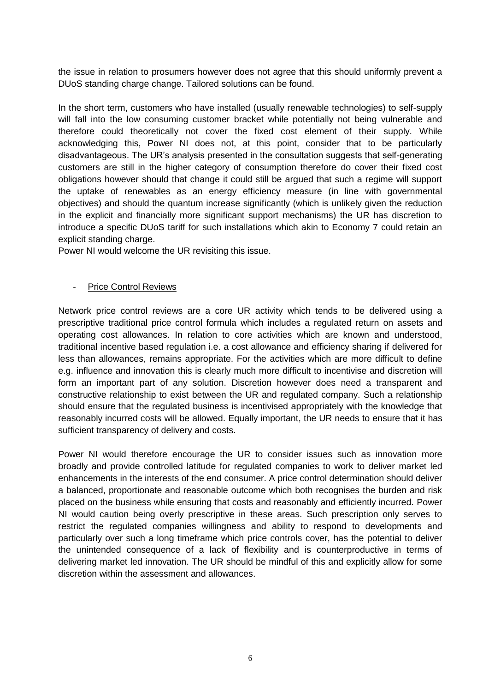the issue in relation to prosumers however does not agree that this should uniformly prevent a DUoS standing charge change. Tailored solutions can be found.

In the short term, customers who have installed (usually renewable technologies) to self-supply will fall into the low consuming customer bracket while potentially not being vulnerable and therefore could theoretically not cover the fixed cost element of their supply. While acknowledging this, Power NI does not, at this point, consider that to be particularly disadvantageous. The UR's analysis presented in the consultation suggests that self-generating customers are still in the higher category of consumption therefore do cover their fixed cost obligations however should that change it could still be argued that such a regime will support the uptake of renewables as an energy efficiency measure (in line with governmental objectives) and should the quantum increase significantly (which is unlikely given the reduction in the explicit and financially more significant support mechanisms) the UR has discretion to introduce a specific DUoS tariff for such installations which akin to Economy 7 could retain an explicit standing charge.

Power NI would welcome the UR revisiting this issue.

#### - Price Control Reviews

Network price control reviews are a core UR activity which tends to be delivered using a prescriptive traditional price control formula which includes a regulated return on assets and operating cost allowances. In relation to core activities which are known and understood, traditional incentive based regulation i.e. a cost allowance and efficiency sharing if delivered for less than allowances, remains appropriate. For the activities which are more difficult to define e.g. influence and innovation this is clearly much more difficult to incentivise and discretion will form an important part of any solution. Discretion however does need a transparent and constructive relationship to exist between the UR and regulated company. Such a relationship should ensure that the regulated business is incentivised appropriately with the knowledge that reasonably incurred costs will be allowed. Equally important, the UR needs to ensure that it has sufficient transparency of delivery and costs.

Power NI would therefore encourage the UR to consider issues such as innovation more broadly and provide controlled latitude for regulated companies to work to deliver market led enhancements in the interests of the end consumer. A price control determination should deliver a balanced, proportionate and reasonable outcome which both recognises the burden and risk placed on the business while ensuring that costs and reasonably and efficiently incurred. Power NI would caution being overly prescriptive in these areas. Such prescription only serves to restrict the regulated companies willingness and ability to respond to developments and particularly over such a long timeframe which price controls cover, has the potential to deliver the unintended consequence of a lack of flexibility and is counterproductive in terms of delivering market led innovation. The UR should be mindful of this and explicitly allow for some discretion within the assessment and allowances.